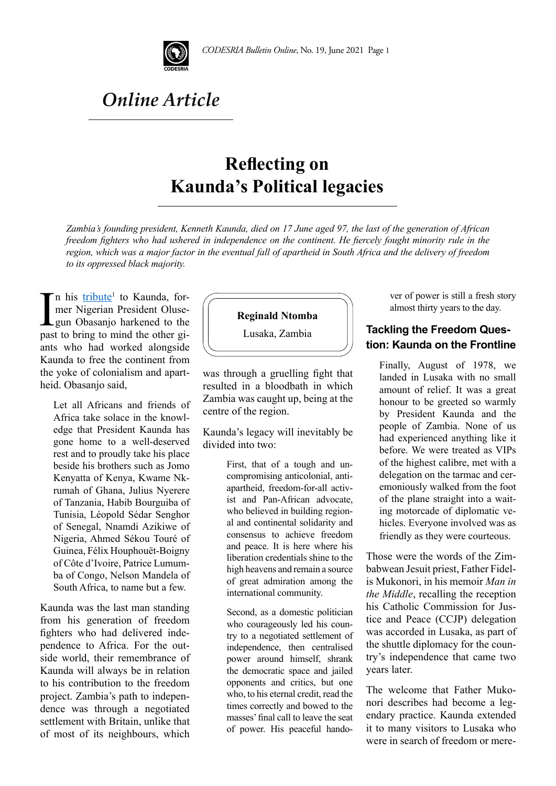

# *Online Article*

# **Reflecting on Kaunda's Political legacies**

*Zambia's founding president, Kenneth Kaunda, died on 17 June aged 97, the last of the generation of African freedom fighters who had ushered in independence on the continent. He fiercely fought minority rule in the region, which was a major factor in the eventual fall of apartheid in South Africa and the delivery of freedom to its oppressed black majority.* 

In his *tribute*<sup>1</sup> to Kaunda, for-<br>mer Nigerian President Oluse-<br>gun Obasanjo harkened to the<br>past to bring to mind the other gin his <u>tribute</u><sup>1</sup> to Kaunda, former Nigerian President Olusegun Obasanjo harkened to the ants who had worked alongside Kaunda to free the continent from the yoke of colonialism and apartheid. Obasanjo said,

Let all Africans and friends of Africa take solace in the knowledge that President Kaunda has gone home to a well-deserved rest and to proudly take his place beside his brothers such as Jomo Kenyatta of Kenya, Kwame Nkrumah of Ghana, Julius Nyerere of Tanzania, Habib Bourguiba of Tunisia, Léopold Sédar Senghor of Senegal, Nnamdi Azikiwe of Nigeria, Ahmed Sékou Touré of Guinea, Félix Houphouët-Boigny of Côte d'Ivoire, Patrice Lumumba of Congo, Nelson Mandela of South Africa, to name but a few.

Kaunda was the last man standing from his generation of freedom fighters who had delivered independence to Africa. For the outside world, their remembrance of Kaunda will always be in relation to his contribution to the freedom project. Zambia's path to independence was through a negotiated settlement with Britain, unlike that of most of its neighbours, which



Lusaka, Zambia

was through a gruelling fight that resulted in a bloodbath in which Zambia was caught up, being at the centre of the region.

Kaunda's legacy will inevitably be divided into two:

> First, that of a tough and uncompromising anticolonial, antiapartheid, freedom-for-all activist and Pan-African advocate, who believed in building regional and continental solidarity and consensus to achieve freedom and peace. It is here where his liberation credentials shine to the high heavens and remain a source of great admiration among the international community.

Second, as a domestic politician who courageously led his country to a negotiated settlement of independence, then centralised power around himself, shrank the democratic space and jailed opponents and critics, but one who, to his eternal credit, read the times correctly and bowed to the masses' final call to leave the seat of power. His peaceful handover of power is still a fresh story almost thirty years to the day.

### **Tackling the Freedom Question: Kaunda on the Frontline**

Finally, August of 1978, we landed in Lusaka with no small amount of relief. It was a great honour to be greeted so warmly by President Kaunda and the people of Zambia. None of us had experienced anything like it before. We were treated as VIPs of the highest calibre, met with a delegation on the tarmac and ceremoniously walked from the foot of the plane straight into a waiting motorcade of diplomatic vehicles. Everyone involved was as friendly as they were courteous.

Those were the words of the Zimbabwean Jesuit priest, Father Fidelis Mukonori, in his memoir *Man in the Middle*, recalling the reception his Catholic Commission for Justice and Peace (CCJP) delegation was accorded in Lusaka, as part of the shuttle diplomacy for the country's independence that came two years later.

The welcome that Father Mukonori describes had become a legendary practice. Kaunda extended it to many visitors to Lusaka who were in search of freedom or mere-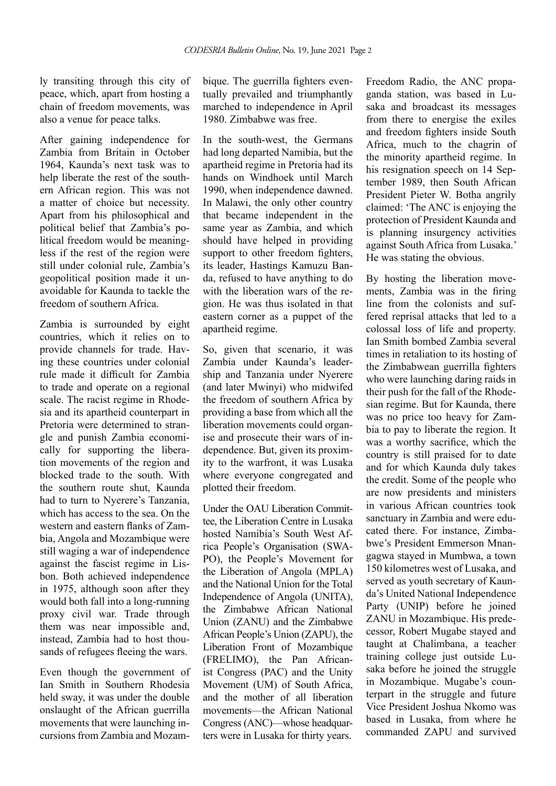ly transiting through this city of peace, which, apart from hosting a chain of freedom movements, was also a venue for peace talks.

After gaining independence for Zambia from Britain in October 1964, Kaunda's next task was to help liberate the rest of the southern African region. This was not a matter of choice but necessity. Apart from his philosophical and political belief that Zambia's political freedom would be meaningless if the rest of the region were still under colonial rule, Zambia's geopolitical position made it unavoidable for Kaunda to tackle the freedom of southern Africa.

Zambia is surrounded by eight countries, which it relies on to provide channels for trade. Having these countries under colonial rule made it difficult for Zambia to trade and operate on a regional scale. The racist regime in Rhodesia and its apartheid counterpart in Pretoria were determined to strangle and punish Zambia economically for supporting the liberation movements of the region and blocked trade to the south. With the southern route shut, Kaunda had to turn to Nyerere's Tanzania, which has access to the sea. On the western and eastern flanks of Zambia, Angola and Mozambique were still waging a war of independence against the fascist regime in Lisbon. Both achieved independence in 1975, although soon after they would both fall into a long-running proxy civil war. Trade through them was near impossible and, instead, Zambia had to host thousands of refugees fleeing the wars.

Even though the government of Ian Smith in Southern Rhodesia held sway, it was under the double onslaught of the African guerrilla movements that were launching incursions from Zambia and Mozambique. The guerrilla fighters eventually prevailed and triumphantly marched to independence in April 1980. Zimbabwe was free.

In the south-west, the Germans had long departed Namibia, but the apartheid regime in Pretoria had its hands on Windhoek until March 1990, when independence dawned. In Malawi, the only other country that became independent in the same year as Zambia, and which should have helped in providing support to other freedom fighters, its leader, Hastings Kamuzu Banda, refused to have anything to do with the liberation wars of the region. He was thus isolated in that eastern corner as a puppet of the apartheid regime.

So, given that scenario, it was Zambia under Kaunda's leadership and Tanzania under Nyerere (and later Mwinyi) who midwifed the freedom of southern Africa by providing a base from which all the liberation movements could organise and prosecute their wars of independence. But, given its proximity to the warfront, it was Lusaka where everyone congregated and plotted their freedom.

Under the OAU Liberation Committee, the Liberation Centre in Lusaka hosted Namibia's South West Africa People's Organisation (SWA-PO), the People's Movement for the Liberation of Angola (MPLA) and the National Union for the Total Independence of Angola (UNITA), the Zimbabwe African National Union (ZANU) and the Zimbabwe African People's Union (ZAPU), the Liberation Front of Mozambique (FRELIMO), the Pan Africanist Congress (PAC) and the Unity Movement (UM) of South Africa, and the mother of all liberation movements—the African National Congress (ANC)—whose headquarters were in Lusaka for thirty years.

Freedom Radio, the ANC propaganda station, was based in Lusaka and broadcast its messages from there to energise the exiles and freedom fighters inside South Africa, much to the chagrin of the minority apartheid regime. In his resignation speech on 14 September 1989, then South African President Pieter W. Botha angrily claimed: 'The ANC is enjoying the protection of President Kaunda and is planning insurgency activities against South Africa from Lusaka.' He was stating the obvious.

By hosting the liberation movements, Zambia was in the firing line from the colonists and suffered reprisal attacks that led to a colossal loss of life and property. Ian Smith bombed Zambia several times in retaliation to its hosting of the Zimbabwean guerrilla fighters who were launching daring raids in their push for the fall of the Rhodesian regime. But for Kaunda, there was no price too heavy for Zambia to pay to liberate the region. It was a worthy sacrifice, which the country is still praised for to date and for which Kaunda duly takes the credit. Some of the people who are now presidents and ministers in various African countries took sanctuary in Zambia and were educated there. For instance, Zimbabwe's President Emmerson Mnangagwa stayed in Mumbwa, a town 150 kilometres west of Lusaka, and served as youth secretary of Kaunda's United National Independence Party (UNIP) before he joined ZANU in Mozambique. His predecessor, Robert Mugabe stayed and taught at Chalimbana, a teacher training college just outside Lusaka before he joined the struggle in Mozambique. Mugabe's counterpart in the struggle and future Vice President Joshua Nkomo was based in Lusaka, from where he commanded ZAPU and survived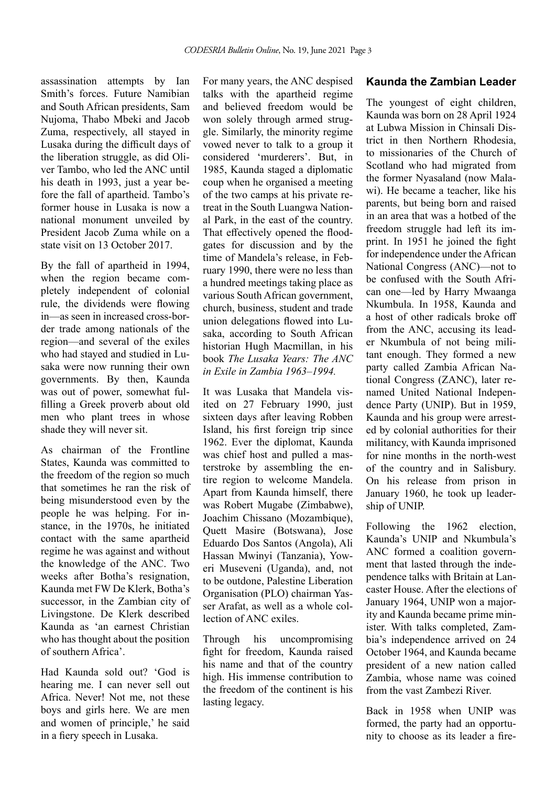assassination attempts by Ian Smith's forces. Future Namibian and South African presidents, Sam Nujoma, Thabo Mbeki and Jacob Zuma, respectively, all stayed in Lusaka during the difficult days of the liberation struggle, as did Oliver Tambo, who led the ANC until his death in 1993, just a year before the fall of apartheid. Tambo's former house in Lusaka is now a national monument unveiled by President Jacob Zuma while on a state visit on 13 October 2017.

By the fall of apartheid in 1994, when the region became completely independent of colonial rule, the dividends were flowing in—as seen in increased cross-border trade among nationals of the region—and several of the exiles who had stayed and studied in Lusaka were now running their own governments. By then, Kaunda was out of power, somewhat fulfilling a Greek proverb about old men who plant trees in whose shade they will never sit.

As chairman of the Frontline States, Kaunda was committed to the freedom of the region so much that sometimes he ran the risk of being misunderstood even by the people he was helping. For instance, in the 1970s, he initiated contact with the same apartheid regime he was against and without the knowledge of the ANC. Two weeks after Botha's resignation, Kaunda met FW De Klerk, Botha's successor, in the Zambian city of Livingstone. De Klerk described Kaunda as 'an earnest Christian who has thought about the position of southern Africa'.

Had Kaunda sold out? 'God is hearing me. I can never sell out Africa. Never! Not me, not these boys and girls here. We are men and women of principle,' he said in a fiery speech in Lusaka.

For many years, the ANC despised talks with the apartheid regime and believed freedom would be won solely through armed struggle. Similarly, the minority regime vowed never to talk to a group it considered 'murderers'. But, in 1985, Kaunda staged a diplomatic coup when he organised a meeting of the two camps at his private retreat in the South Luangwa National Park, in the east of the country. That effectively opened the floodgates for discussion and by the time of Mandela's release, in February 1990, there were no less than a hundred meetings taking place as various South African government, church, business, student and trade union delegations flowed into Lusaka, according to South African historian Hugh Macmillan, in his book *The Lusaka Years: The ANC in Exile in Zambia 1963–1994.* 

It was Lusaka that Mandela visited on 27 February 1990, just sixteen days after leaving Robben Island, his first foreign trip since 1962. Ever the diplomat, Kaunda was chief host and pulled a masterstroke by assembling the entire region to welcome Mandela. Apart from Kaunda himself, there was Robert Mugabe (Zimbabwe), Joachim Chissano (Mozambique), Quett Masire (Botswana), Jose Eduardo Dos Santos (Angola), Ali Hassan Mwinyi (Tanzania), Yoweri Museveni (Uganda), and, not to be outdone, Palestine Liberation Organisation (PLO) chairman Yasser Arafat, as well as a whole collection of ANC exiles.

Through his uncompromising fight for freedom, Kaunda raised his name and that of the country high. His immense contribution to the freedom of the continent is his lasting legacy.

#### **Kaunda the Zambian Leader**

The youngest of eight children, Kaunda was born on 28 April 1924 at Lubwa Mission in Chinsali District in then Northern Rhodesia, to missionaries of the Church of Scotland who had migrated from the former Nyasaland (now Malawi). He became a teacher, like his parents, but being born and raised in an area that was a hotbed of the freedom struggle had left its imprint. In 1951 he joined the fight for independence under the African National Congress (ANC)—not to be confused with the South African one—led by Harry Mwaanga Nkumbula. In 1958, Kaunda and a host of other radicals broke off from the ANC, accusing its leader Nkumbula of not being militant enough. They formed a new party called Zambia African National Congress (ZANC), later renamed United National Independence Party (UNIP). But in 1959, Kaunda and his group were arrested by colonial authorities for their militancy, with Kaunda imprisoned for nine months in the north-west of the country and in Salisbury. On his release from prison in January 1960, he took up leadership of UNIP.

Following the 1962 election, Kaunda's UNIP and Nkumbula's ANC formed a coalition government that lasted through the independence talks with Britain at Lancaster House. After the elections of January 1964, UNIP won a majority and Kaunda became prime minister. With talks completed, Zambia's independence arrived on 24 October 1964, and Kaunda became president of a new nation called Zambia, whose name was coined from the vast Zambezi River.

Back in 1958 when UNIP was formed, the party had an opportunity to choose as its leader a fire-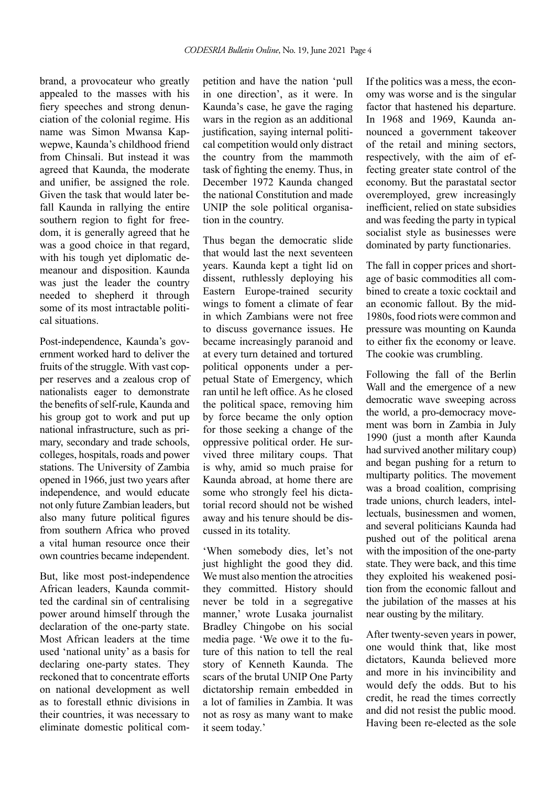brand, a provocateur who greatly appealed to the masses with his fiery speeches and strong denunciation of the colonial regime. His name was Simon Mwansa Kapwepwe, Kaunda's childhood friend from Chinsali. But instead it was agreed that Kaunda, the moderate and unifier, be assigned the role. Given the task that would later befall Kaunda in rallying the entire southern region to fight for freedom, it is generally agreed that he was a good choice in that regard, with his tough yet diplomatic demeanour and disposition. Kaunda was just the leader the country needed to shepherd it through some of its most intractable political situations.

Post-independence, Kaunda's government worked hard to deliver the fruits of the struggle. With vast copper reserves and a zealous crop of nationalists eager to demonstrate the benefits of self-rule, Kaunda and his group got to work and put up national infrastructure, such as primary, secondary and trade schools, colleges, hospitals, roads and power stations. The University of Zambia opened in 1966, just two years after independence, and would educate not only future Zambian leaders, but also many future political figures from southern Africa who proved a vital human resource once their own countries became independent.

But, like most post-independence African leaders, Kaunda committed the cardinal sin of centralising power around himself through the declaration of the one-party state. Most African leaders at the time used 'national unity' as a basis for declaring one-party states. They reckoned that to concentrate efforts on national development as well as to forestall ethnic divisions in their countries, it was necessary to eliminate domestic political com-

petition and have the nation 'pull in one direction', as it were. In Kaunda's case, he gave the raging wars in the region as an additional justification, saying internal political competition would only distract the country from the mammoth task of fighting the enemy. Thus, in December 1972 Kaunda changed the national Constitution and made UNIP the sole political organisation in the country.

Thus began the democratic slide that would last the next seventeen years. Kaunda kept a tight lid on dissent, ruthlessly deploying his Eastern Europe-trained security wings to foment a climate of fear in which Zambians were not free to discuss governance issues. He became increasingly paranoid and at every turn detained and tortured political opponents under a perpetual State of Emergency, which ran until he left office. As he closed the political space, removing him by force became the only option for those seeking a change of the oppressive political order. He survived three military coups. That is why, amid so much praise for Kaunda abroad, at home there are some who strongly feel his dictatorial record should not be wished away and his tenure should be discussed in its totality.

'When somebody dies, let's not just highlight the good they did. We must also mention the atrocities they committed. History should never be told in a segregative manner,' wrote Lusaka journalist Bradley Chingobe on his social media page. 'We owe it to the future of this nation to tell the real story of Kenneth Kaunda. The scars of the brutal UNIP One Party dictatorship remain embedded in a lot of families in Zambia. It was not as rosy as many want to make it seem today.'

If the politics was a mess, the economy was worse and is the singular factor that hastened his departure. In 1968 and 1969, Kaunda announced a government takeover of the retail and mining sectors, respectively, with the aim of effecting greater state control of the economy. But the parastatal sector overemployed, grew increasingly inefficient, relied on state subsidies and was feeding the party in typical socialist style as businesses were dominated by party functionaries.

The fall in copper prices and shortage of basic commodities all combined to create a toxic cocktail and an economic fallout. By the mid-1980s, food riots were common and pressure was mounting on Kaunda to either fix the economy or leave. The cookie was crumbling.

Following the fall of the Berlin Wall and the emergence of a new democratic wave sweeping across the world, a pro-democracy movement was born in Zambia in July 1990 (just a month after Kaunda had survived another military coup) and began pushing for a return to multiparty politics. The movement was a broad coalition, comprising trade unions, church leaders, intellectuals, businessmen and women, and several politicians Kaunda had pushed out of the political arena with the imposition of the one-party state. They were back, and this time they exploited his weakened position from the economic fallout and the jubilation of the masses at his near ousting by the military.

After twenty-seven years in power, one would think that, like most dictators, Kaunda believed more and more in his invincibility and would defy the odds. But to his credit, he read the times correctly and did not resist the public mood. Having been re-elected as the sole